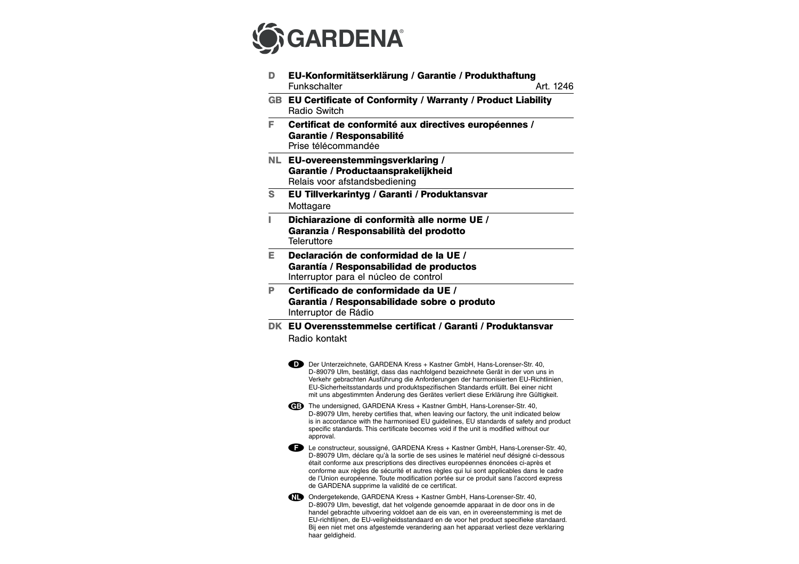

| D. | EU-Konformitätserklärung / Garantie / Produkthaftung<br><b>Funkschalter</b><br>Art. 1246                                                                                                                                                                                                                                                                                                                                                                                                                         |
|----|------------------------------------------------------------------------------------------------------------------------------------------------------------------------------------------------------------------------------------------------------------------------------------------------------------------------------------------------------------------------------------------------------------------------------------------------------------------------------------------------------------------|
|    | GB EU Certificate of Conformity / Warranty / Product Liability<br><b>Radio Switch</b>                                                                                                                                                                                                                                                                                                                                                                                                                            |
| F  | Certificat de conformité aux directives européennes /<br>Garantie / Responsabilité<br>Prise télécommandée                                                                                                                                                                                                                                                                                                                                                                                                        |
|    | NL EU-overeenstemmingsverklaring /<br>Garantie / Productaansprakelijkheid<br>Relais voor afstandsbediening                                                                                                                                                                                                                                                                                                                                                                                                       |
| S  | EU Tillverkarintyg / Garanti / Produktansvar<br>Mottagare                                                                                                                                                                                                                                                                                                                                                                                                                                                        |
| L  | Dichiarazione di conformità alle norme UE /<br>Garanzia / Responsabilità del prodotto<br>Teleruttore                                                                                                                                                                                                                                                                                                                                                                                                             |
| F  | Declaración de conformidad de la UE /<br>Garantía / Responsabilidad de productos<br>Interruptor para el núcleo de control                                                                                                                                                                                                                                                                                                                                                                                        |
| P  | Certificado de conformidade da UE /<br>Garantia / Responsabilidade sobre o produto<br>Interruptor de Rádio                                                                                                                                                                                                                                                                                                                                                                                                       |
|    | DK EU Overensstemmelse certificat / Garanti / Produktansvar<br>Radio kontakt                                                                                                                                                                                                                                                                                                                                                                                                                                     |
|    | D Der Unterzeichnete, GARDENA Kress + Kastner GmbH, Hans-Lorenser-Str. 40,<br>D-89079 Ulm, bestätigt, dass das nachfolgend bezeichnete Gerät in der von uns in<br>Verkehr gebrachten Ausführung die Anforderungen der harmonisierten EU-Richtlinien,<br>EU-Sicherheitsstandards und produktspezifischen Standards erfüllt. Bei einer nicht<br>mit uns abgestimmten Änderung des Gerätes verliert diese Erklärung ihre Gültigkeit.                                                                                |
|    | <b>CEED</b> The undersigned, GARDENA Kress + Kastner GmbH, Hans-Lorenser-Str. 40,<br>D-89079 Ulm, hereby certifies that, when leaving our factory, the unit indicated below<br>is in accordance with the harmonised EU guidelines, EU standards of safety and product<br>specific standards. This certificate becomes void if the unit is modified without our<br>approval.                                                                                                                                      |
|    | <b>ED</b> Le constructeur, soussigné, GARDENA Kress + Kastner GmbH, Hans-Lorenser-Str. 40,<br>D-89079 Ulm, déclare qu'à la sortie de ses usines le matériel neuf désigné ci-dessous<br>était conforme aux prescriptions des directives européennes énoncées ci-après et<br>conforme aux règles de sécurité et autres règles qui lui sont applicables dans le cadre<br>de l'Union européenne. Toute modification portée sur ce produit sans l'accord express<br>de GARDENA supprime la validité de ce certificat. |
|    | Ondergetekende, GARDENA Kress + Kastner GmbH, Hans-Lorenser-Str. 40,<br>D-89079 Ulm, bevestigt, dat het volgende genoemde apparaat in de door ons in de<br>handel gebrachte uitvoering voldoet aan de eis van, en in overeenstemming is met de<br>EU-richtlijnen, de EU-veiligheidsstandaard en de voor het product specifieke standaard.<br>Bij een niet met ons afgestemde verandering aan het apparaat verliest deze verklaring<br>haar geldigheid.                                                           |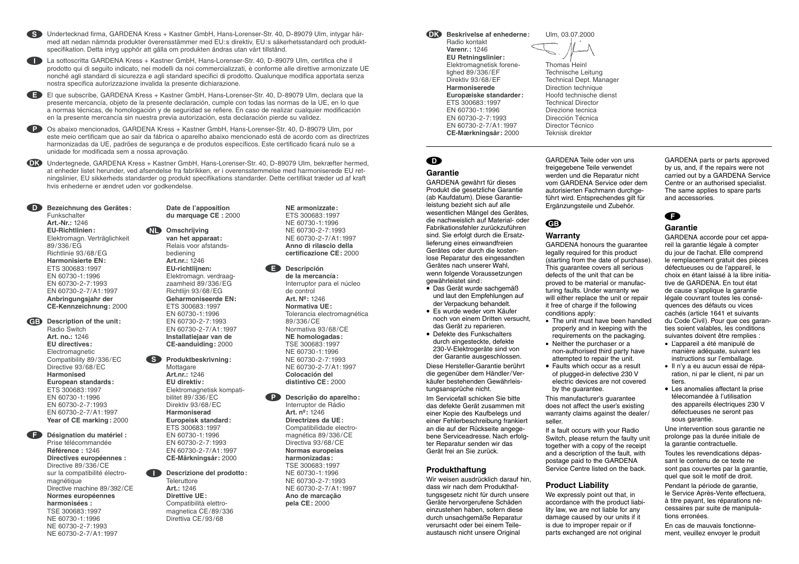S Undertecknad firma, GARDENA Kress + Kastner GmbH, Hans-Lorenser-Str. 40, D-89079 Ulm, intygar härmed att nedan nämnda produkter överensstämmer med EU:s direktiv, EU:s säkerhetsstandard och produktspecifikation. Detta intyg upphör att gälla om produkten ändras utan vårt tillstånd.

I La sottoscritta GARDENA Kress + Kastner GmbH, Hans-Lorenser-Str. 40, D-89079 Ulm, certifica che il prodotto qui di seguito indicato, nei modelli da noi commercializzati, è conforme alle direttive armonizzate UE nonché agli standard di sicurezza e agli standard specifici di prodotto. Qualunque modifica apportata senza nostra specifica autorizzazione invalida la presente dichiarazione.

E El que subscribe, GARDENA Kress + Kastner GmbH, Hans-Lorenser-Str. 40, D-89079 Ulm, declara que la presente mercancía, objeto de la presente declaración, cumple con todas las normas de la UE, en lo que a normas técnicas, de homologación y de seguridad se refiere. En caso de realizar cualquier modificación en la presente mercancía sin nuestra previa autorización, esta declaración pierde su validez.

P Os abaixo mencionados, GARDENA Kress + Kastner GmbH, Hans-Lorenser-Str. 40, D-89079 Ulm, por este meio certificam que ao sair da fábrica o aparelho abaixo mencionado está de acordo com as directrizes harmonizadas da UE, padrões de segurança e de produtos específicos. Este certificado ficará nulo se a unidade for modificada sem a nossa aprovação.

**DR** Undertegnede, GARDENA Kress + Kastner GmbH, Hans-Lorenser-Str. 40, D-89079 Ulm, bekræfter hermed, at enheder listet herunder, ved afsendelse fra fabrikken, er i overensstemmelse med harmoniserede EU retningslinier, EU sikkerheds standarder og produkt specifikations standarder. Dette certifikat træder ud af kraft hvis enhederne er ændret uden vor godkendelse.

D **Bezeichnung des Gerätes: Funkschalter Art.-Nr.:** 1246 **EU-Richtlinien:** Elektromagn. Verträglichkeit 89/336/EG Richtlinie 93/68/EG **Harmonisierte EN:** ETS 300683:1997 EN 60730-1:1996 EN 60730-2-7:1993 EN 60730-2-7/A1:1997 **Anbringungsjahr der CE-Kennzeichnung:** 2000

GB Description of the unit: Radio Switch **Art. no.:** 1246 **EU directives:** Electromagnetic Compatibility 89/336/EC Directive 93/68/EC **Harmonised European standards:** ETS 300683:1997 EN 60730-1:1996 EN 60730-2-7:1993 EN 60730-2-7/A1:1997 **Year of CE marking :** 2000

F **Désignation du matériel :** Prise télécommandée **Référence :** 1246 **Directives européennes :** Directive 89/336/CE sur la compatibilité électromagnétique Directive machine 89/392/CE **Normes européennes harmonisées :** TSE 300683:1997 NE 60730-1:1996 NE 60730-2-7:1993 NE 60730-2-7/A1:1997

**Date de l'apposition du marquage CE :** 2000

### N **Omschrijving van het apparaat:** Relais voor afstandsbediening **Art.nr.:** 1246 **EU-richtlijnen:** Elektromagn. verdraagzaamheid 89/336/EG Richtlijn 93/68/EG **Geharmoniseerde EN:** ETS 300683:1997 EN 60730-1:1996 EN 60730-2-7:1993

EN 60730-2-7/A1:1997 **Installatiejaar van de CE-aanduiding:** 2000

## **Produktbeskrivning:**

Mottagare **Art.nr.:** 1246 **EU direktiv:** Elektromagnetisk kompatibilitet 89/336/EC Direktiv 93/68/EC **Harmoniserad Europeisk standard:** ETS 300683:1997 EN 60730-1:1996 EN 60730-2-7:1993 EN 60730-2-7/A1:1997 **CE-Märkningsår:** 2000

#### I **Descrizione del prodotto:**

**Teleruttore Art.:** 1246 **Direttive UE:** Compatibilità elettromagnetica CE/89/336 Direttiva CE/93/68

**NE armonizzate:** ETS 300683:1997 NE 60730-1:1996 NE 60730-2-7:1993 NE 60730-2-7/A1:1997 **Anno di rilascio della certificazione CE:** 2000

E **Descripción de la mercancía:** Interruptor para el núcleo de control **Art. Nº:** 1246 **Normativa UE:** Tolerancia electromagnética 89/336/CE Normativa 93/68/CE **NE homologadas:** TSE 300683:1997 NE 60730-1:1996 NE 60730-2-7:1993 NE 60730-2-7/A1:1997 **Colocación del distintivo CE:** 2000

#### P **Descrição do aparelho:** Interruptor de Rádio **Art. nº:** 1246 **Directrizes da UE:** Compatibilidade electromagnética 89/336/CE

Directiva 93/68/CE **Normas europeias harmonizadas:** TSE 300683:1997 NE 60730-1:1996 NE 60730-2-7:1993 NE 60730-2-7/A1:1997 **Ano de marcação pela CE:** 2000

 $\bigcap$  **Beskrivelse af enhederne:** Radio kontakt

> **Varenr.:** 1246 **EU Retningslinier:** Elektromagnetisk forenelighed 89/336/EF Direktiv 93/68/EF **Harmoniserede Europæiske standarder:** ETS 300683:1997 EN 60730-1:1996 EN 60730-2-7:1993 EN 60730-2-7/A1:1997 **CE-Mærkningsår:** 2000



Thomas Heinl Technische Leitung Technical Dept. Manager Direction technique Hoofd technische dienst Technical Director Direzione tecnica Dirección Técnica Director Técnico Teknisk direktør

 $\bullet$ 

# **Garantie**

GARDENA gewährt für dieses Produkt die gesetzliche Garantie (ab Kaufdatum). Diese Garantieleistung bezieht sich auf alle wesentlichen Mängel des Gerätes, die nachweislich auf Material- oder Fabrikationsfehler zurückzuführen sind. Sie erfolgt durch die Ersatzlieferung eines einwandfreien Gerätes oder durch die kostenlose Reparatur des eingesandten Gerätes nach unserer Wahl, wenn folgende Voraussetzungen gewährleistet sind:

- Das Gerät wurde sachgemäß und laut den Empfehlungen auf der Verpackung behandelt.
- Es wurde weder vom Käufer noch von einem Dritten versucht, das Gerät zu reparieren.
- Defekte des Funkschalters durch eingesteckte, defekte 230-V-Elektrogeräte sind von der Garantie ausgeschlossen.

Diese Hersteller-Garantie berührt die gegenüber dem Händler/Verkäufer bestehenden Gewährleistungsansprüche nicht.

Im Servicefall schicken Sie bitte das defekte Gerät zusammen mit einer Kopie des Kaufbelegs und einer Fehlerbeschreibung frankiert an die auf der Rückseite angegebene Serviceadresse. Nach erfolgter Reparatur senden wir das Gerät frei an Sie zurück.

# **Produkthaftung**

Wir weisen ausdrücklich darauf hin, dass wir nach dem Produkthaftungsgesetz nicht für durch unsere Geräte hervorgerufene Schäden einzustehen haben, sofern diese durch unsachgemäße Reparatur verursacht oder bei einem Teileaustausch nicht unsere Original

GARDENA Teile oder von uns freigegebene Teile verwendet werden und die Reparatur nicht vom GARDENA Service oder dem autorisierten Fachmann durchgeführt wird. Entsprechendes gilt für Ergänzungsteile und Zubehör.

# G

#### **Warranty**

GARDENA honours the guarantee legally required for this product (starting from the date of purchase). This guarantee covers all serious defects of the unit that can be proved to be material or manufacturing faults. Under warranty we will either replace the unit or repair it free of charge if the following conditions apply:

- The unit must have been handled properly and in keeping with the requirements on the packaging.
- Neither the purchaser or a non-authorised third party have attempted to repair the unit.
- Faults which occur as a result of plugged-in defective 230 V electric devices are not covered by the guarantee.

This manufacturer's guarantee does not affect the user's existing warranty claims against the dealer/ seller.

If a fault occurs with your Radio Switch, please return the faulty unit together with a copy of the receipt and a description of the fault, with postage paid to the GARDENA Service Centre listed on the back.

# **Product Liability**

We expressly point out that, in accordance with the product liability law, we are not liable for any damage caused by our units if it is due to improper repair or if parts exchanged are not original

GARDENA parts or parts approved by us, and, if the repairs were not carried out by a GARDENA Service Centre or an authorised specialist. The same applies to spare parts and accessories.

# F

# **Garantie**

GARDENA accorde pour cet appareil la garantie légale à compter du jour de l'achat. Elle comprend le remplacement gratuit des pièces défectueuses ou de l'appareil, le choix en étant laissé à la libre initiative de GARDENA. En tout état de cause s'applique la garantie légale couvrant toutes les conséquences des défauts ou vices cachés (article 1641 et suivants du Code Civil). Pour que ces garanties soient valables, les conditions suivantes doivent être remplies :

- L'appareil a été manipulé de manière adéquate, suivant les instructions sur l'emballage.
- Il n'y a eu aucun essai de réparation, ni par le client, ni par un tiers.
- Les anomalies affectant la prise télecomandée à l'utilisation des appareils électriques 230 V défectueuses ne seront pas sous garantie.

Une intervention sous garantie ne prolonge pas la durée initiale de la garantie contractuelle.

Toutes les revendications dépassant le contenu de ce texte ne sont pas couvertes par la garantie, quel que soit le motif de droit.

Pendant la période de garantie, le Service Après-Vente effectuera, à titre payant, les réparations nécessaires par suite de manipulations erronées.

En cas de mauvais fonctionnement, veuillez envoyer le produit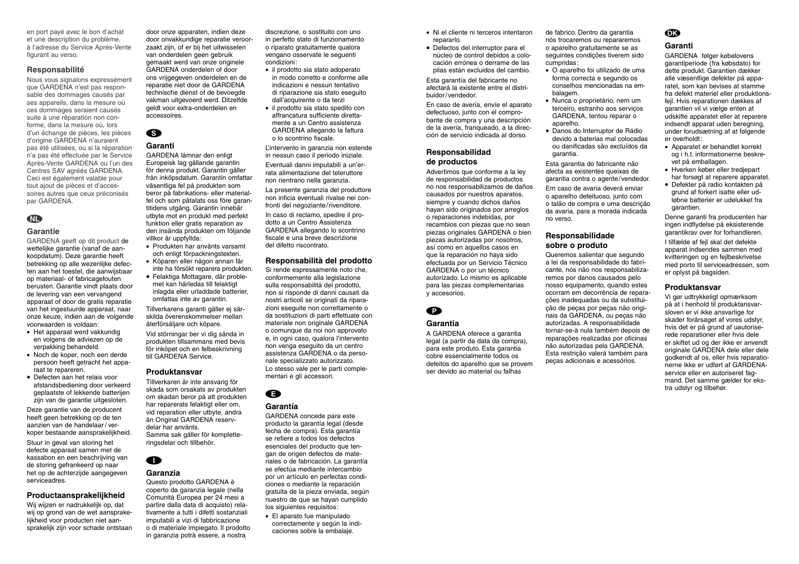en port payé avec le bon d'achat et une description du problème, à l'adresse du Service Après-Vente figurant au verso.

### **Responsabilité**

Nous vous signalons expressément que GARDENA n'est pas responsable des dommages causés par ses appareils, dans la mesure où ces dommages seraient causés suite à une réparation non conforme, dans la mesure où, lors d'un échange de pièces, les pièces d'origine GARDENA n'auraient pas été utilisées, ou si la réparation <sup>n</sup>'a pas été effectuée par le Service Après-Vente GARDENA ou l'un des Centres SAV agréés GARDENA. Ceci est également valable pour tout ajout de pièces et d'accessoires autres que ceux préconisés par GARDENA.

# **AD**

# **Garantie**

GARDENA geeft op dit product de wettelijke garantie (vanaf de aankoopdatum). Deze garantie heeft betrekking op alle wezenlijke defecten aan het toestel, die aanwijsbaar op materiaal- of fabricagefouten berusten. Garantie vindt plaats door de levering van een vervangend apparaat of door de gratis reparatie van het ingestuurde apparaat, naar onze keuze, indien aan de volgende voorwaarden is voldaan:

- Het apparaat werd vakkundig en volgens de adviezen op de verpakking behandeld.
- Noch de koper, noch een derde persoon heeft getracht het apparaat te repareren.
- Defecten aan het relais voor afstandsbediening door verkeerd geplaatste of lekkende batterijen zijn van de garantie uitgesloten.

Deze garantie van de producent heeft geen betrekking op de ten aanzien van de handelaar / verkoper bestaande aansprakelijkheid.

Stuur in geval van storing het defecte apparaat samen met de kassabon en een beschrijving van de storing gefrankeerd op naar het op de achterzijde aangegeven serviceadres.

# **Productaansprakelijkheid**

Wij wijzen er nadrukkelijk op, dat wij op grond van de wet aansprakelijkheid voor producten niet aansprakelijk zijn voor schade ontstaan door onze apparaten, indien deze door onvakkundige reparatie veroorzaakt zijn, of er bij het uitwisselen van onderdelen geen gebruik gemaakt werd van onze originele GARDENA onderdelen of door ons vrijgegeven onderdelen en de reparatie niet door de GARDENA technische dienst of de bevoegde vakman uitgevoerd werd. Ditzelfde geldt voor extra-onderdelen en accessoires.

# S

# **Garanti**

GARDENA lämnar den enligt Europeisk lag gällande garantin för denna produkt. Garantin gäller från inköpsdatum. Garantin omfattar väsentliga fel på produkten som beror på fabrikations- eller materialfel och som påtalats oss före garantitidens utgång. Garantin innebär utbyte mot en produkt med perfekt funktion eller gratis reparation av den insända produkten om följande villkor är uppfyllda:

- Produkten har använts varsamt och enligt förpackningstexten.
- Köparen eller någon annan får inte ha försökt reparera produkten.
- Felaktiga Mottagare, där problemet kan härledas till felaktigt inlagda eller urladdade batterier, omfattas inte av garantin.

Tillverkarens garanti gäller ej särskilda överenskommelser mellan återförsäljare och köpare.

Vid störningar ber vi dig sända in produkten tillsammans med bevis för inköpet och en felbeskrivning till GARDENA Service.

# **Produktansvar**

Tillverkaren är inte ansvarig för skada som orsakats av produkten om skadan beror på att produkten har reparerats felaktigt eller om, vid reparation eller utbyte, andra än Original GARDENA reservdelar har använts. Samma sak gäller för kompletteringsdelar och tillbehör.

# I **Garanzia**

Questo prodotto GARDENA è coperto da garanzia legale (nella Comunità Europea per 24 mesi a partire dalla data di acquisto) relativamente a tutti i difetti sostanziali imputabili a vizi di fabbricazione o di materiale impiegato. Il prodotto in garanzia potrà essere, a nostra

discrezione, o sostituito con uno in perfetto stato di funzionamento o riparato gratuitamente qualora vengano osservate le seguenti condizioni:

- il prodotto sia stato adoperato in modo corretto e conforme alle indicazioni e nessun tentativo di riparazione sia stato eseguito dall'acquirente o da terzi
- il prodotto sia stato spedito con affrancatura sufficiente direttamente a un Centro assistenza GARDENA allegando la fattura o lo scontrino fiscale.

L'intervento in garanzia non estende in nessun caso il periodo iniziale.

Eventuali danni imputabili a un'errata alimentazione del teleruttore non rientrano nella garanzia.

La presente garanzia del produttore non inficia eventuali rivalse nei confronti del negoziante/rivenditore.

In caso di reclamo, spedire il prodotto a un Centro Assistenza GARDENA allegando lo scontrino fiscale e una breve descrizione del difetto riscontrato.

### **Responsabilità del prodotto**

Si rende espressamente noto che, conformemente alla legislazione sulla responsabilità del prodotto, non si risponde di danni causati da nostri articoli se originati da riparazioni eseguite non correttamente o da sostituzioni di parti effettuate con materiale non originale GARDENA o comunque da noi non approvato e, in ogni caso, qualora l'intervento non venga eseguito da un centro assistenza GARDENA o da personale specializzato autorizzato. Lo stesso vale per le parti complementari e gli accessori.

E

# **Garantía**

GARDENA concede para este producto la garantía legal (desde fecha de compra). Esta garantía se refiere a todos los defectos esenciales del producto que tengan de origen defectos de materiales o de fabricación. La garantía se efectúa mediante intercambio por un artículo en perfectas condiciones o mediante la reparación gratuita de la pieza enviada, según nuestro de que se hayan cumplido los siguientes requisitos:

• El aparato fue manipulado correctamente y según la indicaciones sobre la embalaje.

- Ni el cliente ni terceros intentaron repararlo.
- Defectos del interruptor para el núcleo de control debidos a colocación errónea o derrame de las pilas están excluidos del cambio.

Esta garantía del fabricante no afectará la existente entre el distribuidor/vendedor.

En caso de avería, envíe el aparato defectuoso, junto con el comprobante de compra y una descripción de la avería, franqueado, a la dirección de servicio indicada al dorso.

# **Responsabilidad de productos**

Advertimos que conforme a la ley de responsabilidad de productos no nos responsabilizamos de daños causados por nuestros aparatos, siempre y cuando dichos daños hayan sido originados por arreglos o reparaciones indebidas, por recambios con piezas que no sean piezas originales GARDENA o bien piezas autorizadas por nosotros, así como en aquellos casos en que la reparación no haya sido efectuada por un Servicio Técnico GARDENA o por un técnico autorizado. Lo mismo es aplicable para las piezas complementarias y accesorios.



**Garantia** 

A GARDENA oferece a garantia legal (a partir da data da compra), para este produto. Esta garantia cobre essencialmente todos os defeitos do aparelho que se provem ser devido ao material ou falhas

de fabrico. Dentro da garantia nós trocaremos ou repararemos o aparelho gratuitamente se as seguintes condições tiverem sido cumpridas:

- O aparelho foi utilizado de uma forma correcta e segundo os conselhos mencionadas na embalagem.
- Nunca o proprietário, nem um terceiro, estranho aos serviços GARDENA, tentou reparar o aparelho.
- Danos do Interruptor de Rádio devido a baterias mal colocadas ou danificadas são excluídos da garantia.

Esta garantia do fabricante não afecta as existentes queixas de garantia contra o agente/vendedor. Em caso de avaria deverá enviar

o aparelho defeituoso, junto com o talão de compra e uma descrição da avaria, para a morada indicada no verso.

## **Responsabilidade sobre o produto**

Queremos salientar que segundo a lei da responsabilidade do fabricante, nós não nos responsabilizaremos por danos causados pelo nosso equipamento, quando estes ocorram em decorrência de reparações inadequadas ou da substituição de peças por peças não originais da GARDENA, ou peças não autorizadas. A responsabilidade tornar-se-à nula também depois de reparações realizadas por oficinas não autorizadas pela GARDENA. Esta restrição valerá também para peças adicionais e acessórios.

# $\mathbf{G}$

# **Garanti**

GARDENA følger købelovens garantiperiode (fra købsdato) for dette produkt. Garantien dækker alle væsentlige defekter på apparatet, som kan bevises at stamme fra defekt materiel eller produktionsfejl. Hvis reparationen dækkes af garantien vil vi vælge enten at udskifte apparatet eller at reparere indsendt apparat uden beregning, under forudsætning af at følgende er overholdt:

- Apparatet er behandlet korrekt og i h.t. informationerne beskrevet på emballagen.
- Hverken køber eller tredjepart har forsøgt at reparere apparatet.
- Defekter på radio kontakten på grund af forkert isatte eller udløbne batterier er udelukket fra garantien.

Denne garanti fra producenten har ingen indflydelse på eksisterende garantikrav over for forhandleren.

I tilfælde af fejl skal det defekte apparat indsendes sammen med kvitteringen og en fejlbeskrivelse med porto til serviceadressen, som er oplyst på bagsiden.

# **Produktansvar**

Vi gør udtrykkeligt opmærksom på at i henhold til produktansvarsloven er vi ikke ansvarlige for skader forårsaget af vores udstyr, hvis det er på grund af uautoriserede reparationer eller hvis dele er skiftet ud og der ikke er anvendt originale GARDENA dele eller dele godkendt af os, eller hvis reparationerne ikke er udført af GARDENAservice eller en autoriseret fagmand. Det samme gælder for ekstra udstyr og tilbehør.